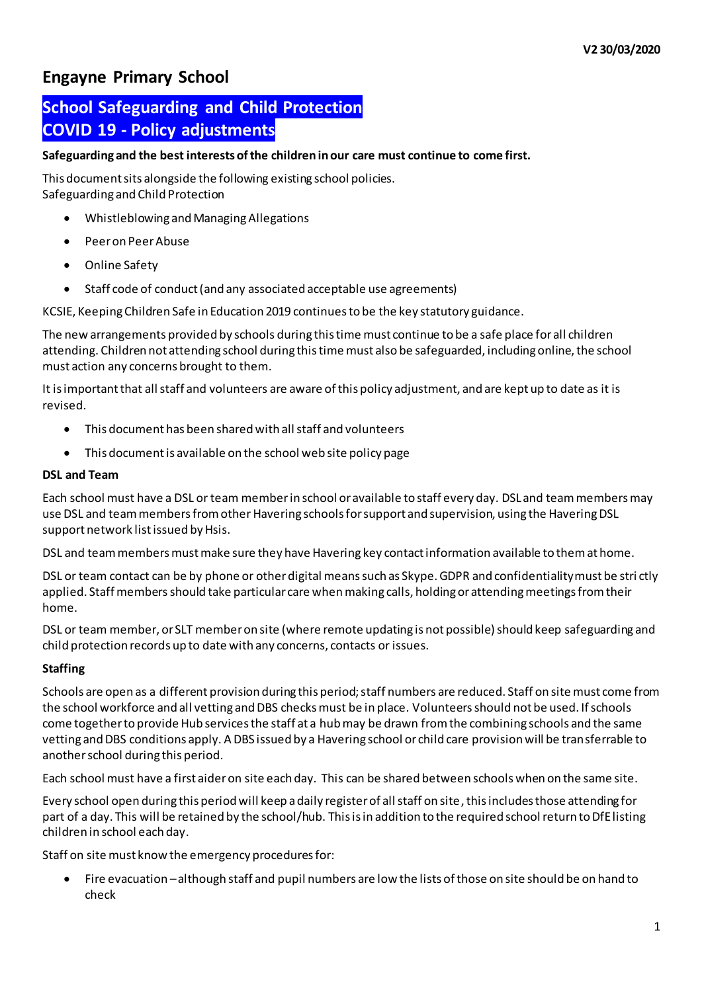## **Engayne Primary School**

# **School Safeguarding and Child Protection COVID 19 - Policy adjustments**

## **Safeguarding and the best interests of the children in our care must continue to come first.**

This document sits alongside the following existing school policies. Safeguarding and Child Protection

- Whistleblowing and Managing Allegations
- Peer on Peer Abuse
- Online Safety
- Staff code of conduct (and any associated acceptable use agreements)

KCSIE, Keeping Children Safe in Education 2019 continues to be the key statutory guidance.

The new arrangements provided by schools during this time must continue to be a safe place for all children attending. Children not attending school during this time must also be safeguarded, including online, the school must action any concerns brought to them.

It is important that all staff and volunteers are aware of this policy adjustment, and are kept up to date as it is revised.

- This document has been shared with all staff and volunteers
- This document is available on the school web site policy page

#### **DSL and Team**

Each school must have a DSL or team member in school or available to staff every day. DSL and team membersmay use DSL and team members from other Havering schools for support and supervision, using the Havering DSL support network list issued by Hsis.

DSL and team members must make sure they have Havering key contact information available to them at home.

DSL or team contact can be by phone or other digital means such as Skype. GDPR and confidentiality must be stri ctly applied. Staff members should take particular care when making calls, holding or attending meetings from their home.

DSL or team member, or SLT member on site (where remote updating is not possible) should keep safeguarding and child protection records up to date with any concerns, contacts or issues.

## **Staffing**

Schools are open as a different provision during this period; staff numbers are reduced. Staff on site must come from the school workforce and all vetting and DBS checks must be in place. Volunteersshould not be used. If schools come together to provide Hub services the staff at a hub may be drawn from the combining schools and the same vetting and DBS conditions apply. A DBS issued by a Havering school or child care provision will be transferrable to anotherschool during this period.

Each school must have a first aider on site each day. This can be shared between schools when on the same site.

Every school open during this period will keep a daily register of all staff on site, this includes those attending for part of a day. This will be retained by the school/hub. This is in addition to the required school return to DfE listing children in school each day.

Staff on site must know the emergency procedures for:

 Fire evacuation –although staff and pupil numbers are low the lists of those on site should be on hand to check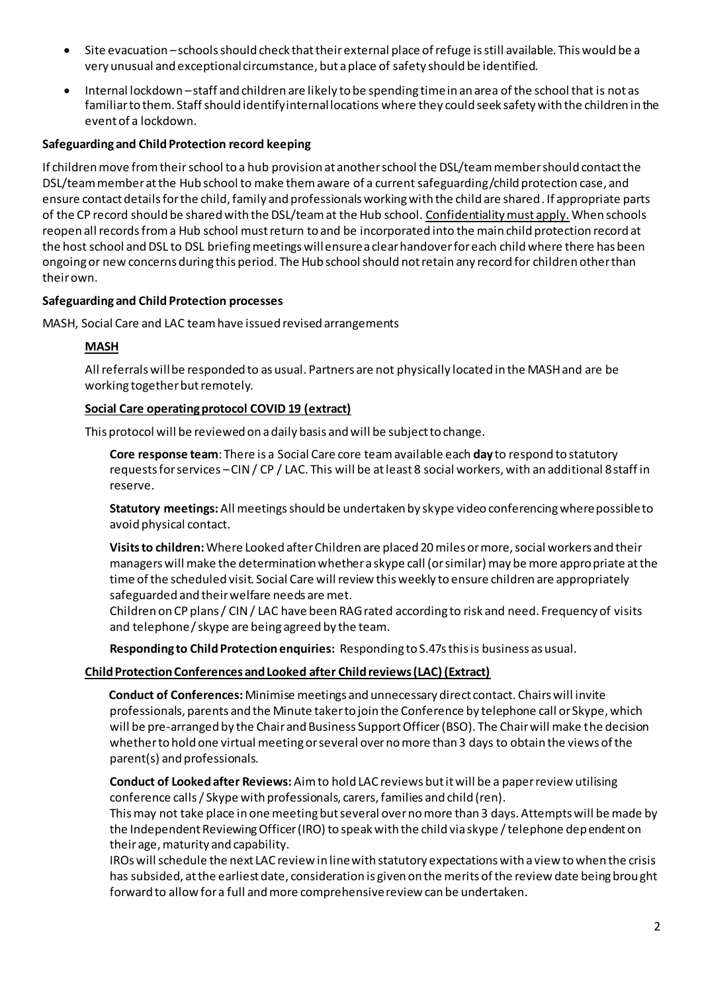- Site evacuation –schools should check that their external place of refuge is still available. This would be a very unusual and exceptional circumstance, but a place of safety should be identified.
- Internal lockdown –staff and children are likely to be spending time in an area of the school that is not as familiar to them. Staff should identify internal locations where they could seek safety with the children in the event of a lockdown.

## **Safeguarding and Child Protection record keeping**

If children move from their school to a hub provision at another school the DSL/team member should contact the DSL/team member at the Hub school to make them aware of a current safeguarding/child protection case, and ensure contact details for the child, family and professionals working with the child are shared. If appropriate parts of the CP record should be shared with the DSL/team at the Hub school. Confidentiality must apply. When schools reopen all records from a Hub school must return to and be incorporated into the main child protection record at the host school and DSL to DSL briefing meetings will ensure a clear handover for each child where there has been ongoing or new concerns during this period. The Hub school should not retain any record for children other than their own.

## **Safeguarding and Child Protection processes**

MASH, Social Care and LAC team have issued revised arrangements

## **MASH**

All referrals will be responded to as usual. Partners are not physically located in the MASH and are be working together but remotely.

## **Social Care operating protocol COVID 19 (extract)**

This protocol will be reviewed on a daily basis and will be subject to change.

**Core response team**: There is a Social Care core team available each **day** to respond to statutory requests for services –CIN / CP / LAC. This will be at least 8 social workers, with an additional 8 staff in reserve.

**Statutory meetings:**All meetings should be undertaken by skype video conferencing where possible to avoid physical contact.

**Visits to children:** Where Looked after Children are placed 20 miles or more, social workers and their managers will make the determination whether a skype call (or similar) may be more appropriate at the time of the scheduled visit. Social Care will review this weekly to ensure children are appropriately safeguarded and their welfare needs are met.

Children on CP plans / CIN / LAC have been RAG rated according to risk and need. Frequency of visits and telephone / skype are being agreed by the team.

**Responding to Child Protection enquiries:** Responding to S.47s this is business as usual.

## **Child Protection Conferences and Looked after Child reviews (LAC) (Extract)**

**Conduct of Conferences:** Minimise meetings and unnecessary direct contact. Chairs will invite professionals, parents and the Minute taker to join the Conference by telephone call or Skype, which will be pre-arranged by the Chair and Business Support Officer (BSO). The Chair will make the decision whether to hold one virtual meeting or several over no more than 3 days to obtain the views of the parent(s) and professionals.

**Conduct of Looked after Reviews:** Aim to hold LAC reviews but it will be a paper review utilising conference calls/ Skype with professionals, carers, families and child (ren).

This may not take place in one meeting but several over no more than 3 days. Attempts will be made by the Independent Reviewing Officer (IRO) to speak with the child via skype / telephone dependent on their age, maturity and capability.

IROs will schedule the next LAC review in line with statutory expectations with a view to when the crisis has subsided, at the earliest date, consideration is given on the merits of the review date being brought forward to allow for a full and more comprehensive review can be undertaken.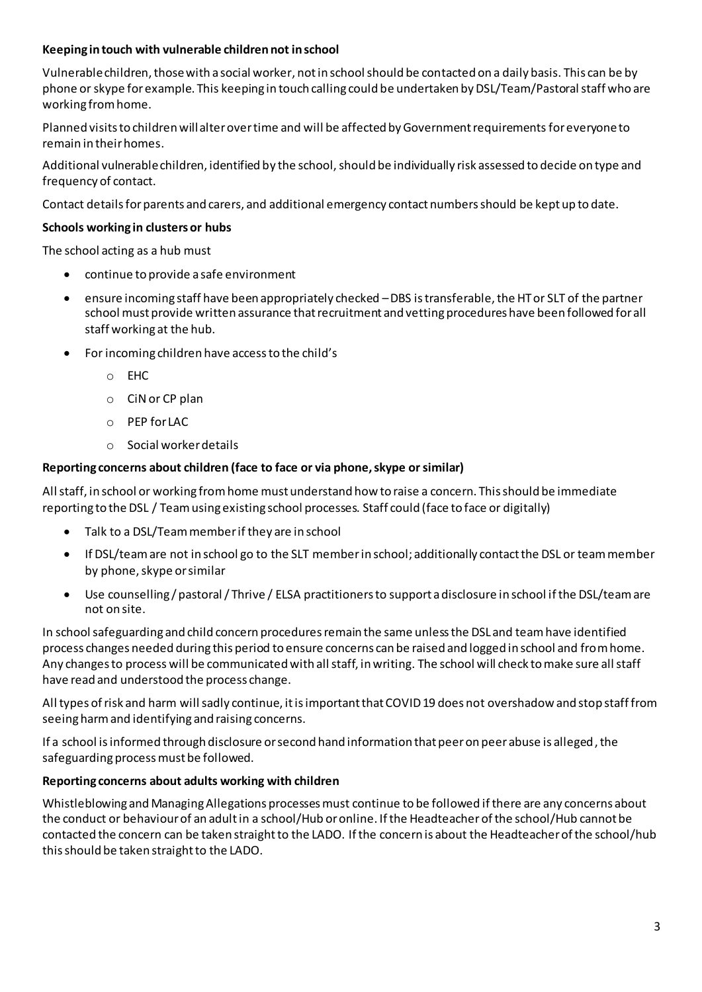## **Keeping in touch with vulnerable children not in school**

Vulnerable children, those with a social worker, not in school should be contacted on a daily basis. This can be by phone or skype for example. This keeping in touch calling could be undertaken by DSL/Team/Pastoral staff who are working from home.

Planned visits to children will alter over time and will be affected by Government requirementsfor everyoneto remain in their homes.

Additional vulnerable children, identified by the school, should be individually risk assessed to decide on type and frequency of contact.

Contact details for parents and carers, and additional emergency contact numbers should be kept up to date.

## **Schools working in clusters or hubs**

The school acting as a hub must

- continue to provide a safe environment
- ensure incoming staff have been appropriately checked –DBS is transferable, the HT or SLT of the partner school must provide written assurance that recruitment and vetting procedures have been followed for all staff working at the hub.
- For incoming children have access to the child's
	- o EHC
	- o CiNor CP plan
	- o PEP for LAC
	- o Social worker details

## **Reporting concerns about children (face to face or via phone, skype or similar)**

Allstaff, in school or working from home must understand how to raise a concern. This should be immediate reporting to the DSL / Team using existing school processes. Staff could (face to face or digitally)

- Talk to a DSL/Team member if they are in school
- If DSL/team are not in school go to the SLT memberin school; additionally contact the DSL or team member by phone, skype or similar
- Use counselling / pastoral / Thrive / ELSA practitioners to support a disclosure in school if the DSL/team are not on site.

In school safeguarding and child concern procedures remain the same unless the DSL and team have identified process changes needed during this period to ensure concerns can be raised and logged in school and from home. Any changes to process will be communicated with all staff, in writing. The school will check to make sure all staff have read and understood the process change.

All types of risk and harm will sadly continue, it is important that COVID 19 does not overshadow and stop staff from seeing harm and identifying and raising concerns.

If a school is informed through disclosure or second hand information that peer on peer abuse is alleged, the safeguarding process must be followed.

## **Reporting concerns about adults working with children**

Whistleblowing and Managing Allegations processes must continue to be followed if there are any concerns about the conduct or behaviour of an adultin a school/Hub or online. If the Headteacher of the school/Hub cannot be contacted the concern can be taken straight to the LADO. If the concern is about the Headteacher of the school/hub this should be taken straight to the LADO.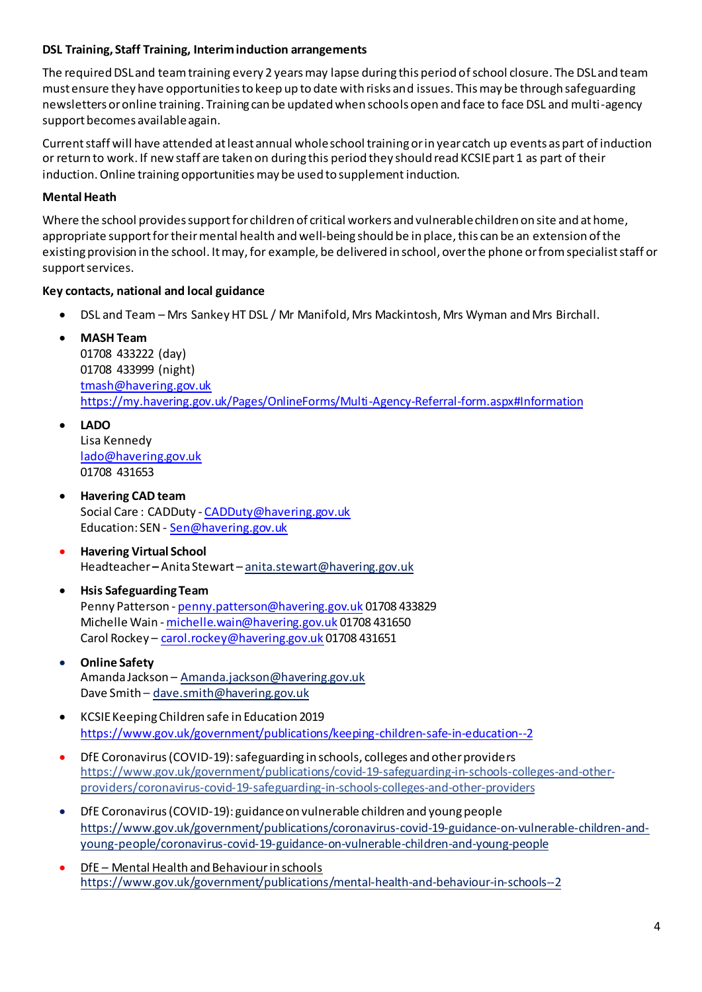## **DSL Training, Staff Training, Interim induction arrangements**

The required DSL and team training every 2 years may lapse during this period ofschool closure. The DSL and team must ensure they have opportunities to keep up to date with risks and issues. This may be through safeguarding newsletters or online training. Training can be updated when schools open and face to face DSL and multi-agency support becomes available again.

Current staff will have attended at least annual whole school training or in year catch up events as part of induction or return to work. If new staff are taken on during this period they should read KCSIE part 1 as part of their induction. Online training opportunities may be used to supplement induction.

## **Mental Heath**

Where the school provides support for children of critical workers and vulnerable children on site and at home, appropriate support for theirmental health and well-being should be in place, this can be an extension of the existing provision in the school. It may, for example, be delivered in school, over the phone or from specialist staff or support services.

## **Key contacts, national and local guidance**

- DSL and Team Mrs Sankey HT DSL / Mr Manifold, Mrs Mackintosh, Mrs Wyman and Mrs Birchall.
- **MASH Team**

01708 433222 (day) 01708 433999 (night) [tmash@havering.gov.uk](mailto:tmash@havering.gov.uk) <https://my.havering.gov.uk/Pages/OnlineForms/Multi-Agency-Referral-form.aspx#Information>

- **LADO** Lisa Kennedy [lado@havering.gov.uk](mailto:lado@havering.gov.uk) 01708 431653
- **Havering CAD team** Social Care: CADDuty - [CADDuty@havering.gov.uk](mailto:CADDuty@havering.gov.uk) Education: SEN - [Sen@havering.gov.uk](mailto:Sen@havering.gov.uk)
- **Havering Virtual School** Headteacher **–** Anita Stewart – anita.stewart@havering.gov.uk
- **Hsis Safeguarding Team** Penny Patterson - [penny.patterson@havering.gov.uk](mailto:penny.patterson@havering.gov.uk) 01708 433829 Michelle Wain - [michelle.wain@havering.gov.uk](mailto:michelle.wain@havering.gov.uk) 01708 431650 Carol Rockey - [carol.rockey@havering.gov.uk](mailto:carol.rockey@havering.gov.uk) 01708 431651
- **Online Safety** Amanda Jackson – [Amanda.jackson@havering.gov.uk](mailto:Amanda.jackson@havering.gov.uk) Dave Smith - [dave.smith@havering.gov.uk](mailto:dave.smith@havering.gov.uk)
- KCSIE Keeping Children safe in Education 2019 <https://www.gov.uk/government/publications/keeping-children-safe-in-education--2>
- DfE Coronavirus (COVID-19): safeguarding in schools, colleges and other providers [https://www.gov.uk/government/publications/covid-19-safeguarding-in-schools-colleges-and-other](https://www.gov.uk/government/publications/covid-19-safeguarding-in-schools-colleges-and-other-providers/coronavirus-covid-19-safeguarding-in-schools-colleges-and-other-providers)[providers/coronavirus-covid-19-safeguarding-in-schools-colleges-and-other-providers](https://www.gov.uk/government/publications/covid-19-safeguarding-in-schools-colleges-and-other-providers/coronavirus-covid-19-safeguarding-in-schools-colleges-and-other-providers)
- DfE Coronavirus (COVID-19): guidance on vulnerable children and young people [https://www.gov.uk/government/publications/coronavirus-covid-19-guidance-on-vulnerable-children-and](https://www.gov.uk/government/publications/coronavirus-covid-19-guidance-on-vulnerable-children-and-young-people/coronavirus-covid-19-guidance-on-vulnerable-children-and-young-people)[young-people/coronavirus-covid-19-guidance-on-vulnerable-children-and-young-people](https://www.gov.uk/government/publications/coronavirus-covid-19-guidance-on-vulnerable-children-and-young-people/coronavirus-covid-19-guidance-on-vulnerable-children-and-young-people)
- DfE Mental Health and Behaviour in schools <https://www.gov.uk/government/publications/mental-health-and-behaviour-in-schools--2>